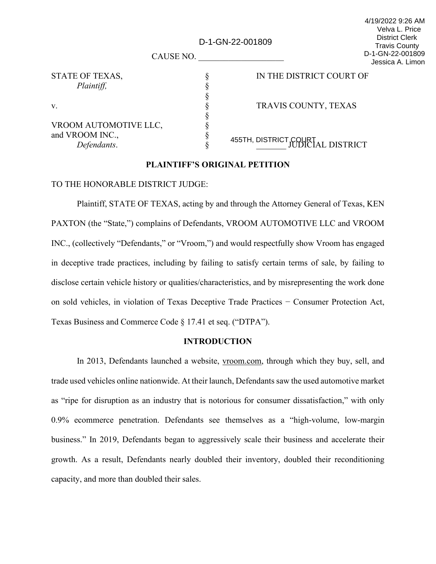| CAUSE NO.                      | <b>District Clerk</b><br>D-1-GN-22-001809<br><b>Travis County</b><br>D-1-GN-22-001809<br>Jessica A. Limon |                                            |
|--------------------------------|-----------------------------------------------------------------------------------------------------------|--------------------------------------------|
| STATE OF TEXAS,                |                                                                                                           | IN THE DISTRICT COURT OF                   |
| Plaintiff,                     |                                                                                                           |                                            |
|                                |                                                                                                           |                                            |
| v.                             |                                                                                                           | TRAVIS COUNTY, TEXAS                       |
|                                |                                                                                                           |                                            |
| VROOM AUTOMOTIVE LLC,          |                                                                                                           |                                            |
| and VROOM INC.,<br>Defendants. |                                                                                                           | 455TH, DISTRICT COURT<br>JUDICIAL DISTRICT |
|                                |                                                                                                           |                                            |

4/19/2022 9:26 AM Velva L. Price

# **PLAINTIFF'S ORIGINAL PETITION**

## TO THE HONORABLE DISTRICT JUDGE:

Plaintiff, STATE OF TEXAS, acting by and through the Attorney General of Texas, KEN PAXTON (the "State,") complains of Defendants, VROOM AUTOMOTIVE LLC and VROOM INC., (collectively "Defendants," or "Vroom,") and would respectfully show Vroom has engaged in deceptive trade practices, including by failing to satisfy certain terms of sale, by failing to disclose certain vehicle history or qualities/characteristics, and by misrepresenting the work done on sold vehicles, in violation of Texas Deceptive Trade Practices − Consumer Protection Act, Texas Business and Commerce Code § 17.41 et seq. ("DTPA").

## **INTRODUCTION**

In 2013, Defendants launched a website, vroom.com, through which they buy, sell, and trade used vehicles online nationwide. At their launch, Defendants saw the used automotive market as "ripe for disruption as an industry that is notorious for consumer dissatisfaction," with only 0.9% ecommerce penetration. Defendants see themselves as a "high-volume, low-margin business." In 2019, Defendants began to aggressively scale their business and accelerate their growth. As a result, Defendants nearly doubled their inventory, doubled their reconditioning capacity, and more than doubled their sales.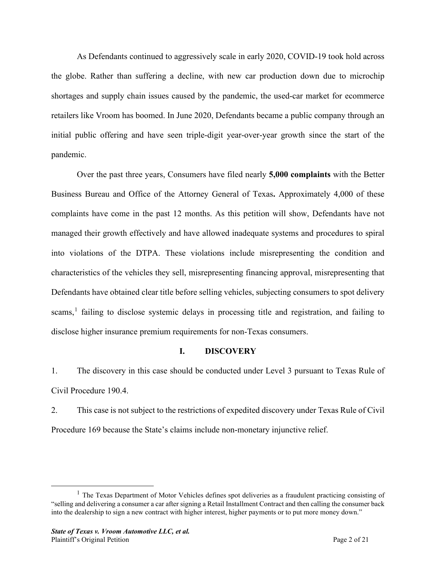As Defendants continued to aggressively scale in early 2020, COVID-19 took hold across the globe. Rather than suffering a decline, with new car production down due to microchip shortages and supply chain issues caused by the pandemic, the used-car market for ecommerce retailers like Vroom has boomed. In June 2020, Defendants became a public company through an initial public offering and have seen triple-digit year-over-year growth since the start of the pandemic.

Over the past three years, Consumers have filed nearly **5,000 complaints** with the Better Business Bureau and Office of the Attorney General of Texas**.** Approximately 4,000 of these complaints have come in the past 12 months. As this petition will show, Defendants have not managed their growth effectively and have allowed inadequate systems and procedures to spiral into violations of the DTPA. These violations include misrepresenting the condition and characteristics of the vehicles they sell, misrepresenting financing approval, misrepresenting that Defendants have obtained clear title before selling vehicles, subjecting consumers to spot delivery scams,<sup>[1](#page-1-0)</sup> failing to disclose systemic delays in processing title and registration, and failing to disclose higher insurance premium requirements for non-Texas consumers.

# **I. DISCOVERY**

1. The discovery in this case should be conducted under Level 3 pursuant to Texas Rule of Civil Procedure 190.4.

2. This case is not subject to the restrictions of expedited discovery under Texas Rule of Civil Procedure 169 because the State's claims include non-monetary injunctive relief.

<span id="page-1-0"></span> $<sup>1</sup>$  The Texas Department of Motor Vehicles defines spot deliveries as a fraudulent practicing consisting of</sup> "selling and delivering a consumer a car after signing a Retail Installment Contract and then calling the consumer back into the dealership to sign a new contract with higher interest, higher payments or to put more money down."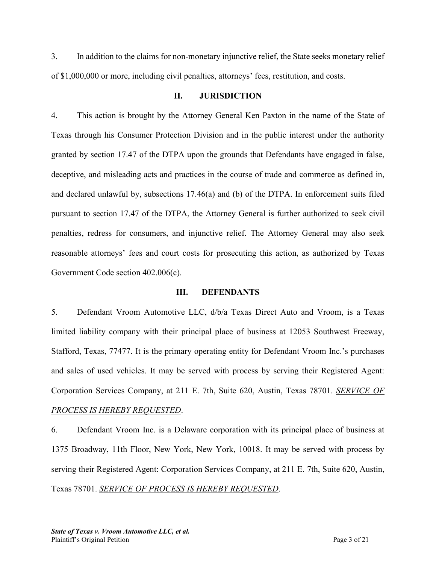3. In addition to the claims for non-monetary injunctive relief, the State seeks monetary relief of \$1,000,000 or more, including civil penalties, attorneys' fees, restitution, and costs.

# **II. JURISDICTION**

4. This action is brought by the Attorney General Ken Paxton in the name of the State of Texas through his Consumer Protection Division and in the public interest under the authority granted by section 17.47 of the DTPA upon the grounds that Defendants have engaged in false, deceptive, and misleading acts and practices in the course of trade and commerce as defined in, and declared unlawful by, subsections 17.46(a) and (b) of the DTPA. In enforcement suits filed pursuant to section 17.47 of the DTPA, the Attorney General is further authorized to seek civil penalties, redress for consumers, and injunctive relief. The Attorney General may also seek reasonable attorneys' fees and court costs for prosecuting this action, as authorized by Texas Government Code section 402.006(c).

## **III. DEFENDANTS**

5. Defendant Vroom Automotive LLC, d/b/a Texas Direct Auto and Vroom, is a Texas limited liability company with their principal place of business at 12053 Southwest Freeway, Stafford, Texas, 77477. It is the primary operating entity for Defendant Vroom Inc.'s purchases and sales of used vehicles. It may be served with process by serving their Registered Agent: Corporation Services Company, at 211 E. 7th, Suite 620, Austin, Texas 78701. *SERVICE OF PROCESS IS HEREBY REQUESTED*.

6. Defendant Vroom Inc. is a Delaware corporation with its principal place of business at 1375 Broadway, 11th Floor, New York, New York, 10018. It may be served with process by serving their Registered Agent: Corporation Services Company, at 211 E. 7th, Suite 620, Austin, Texas 78701. *SERVICE OF PROCESS IS HEREBY REQUESTED*.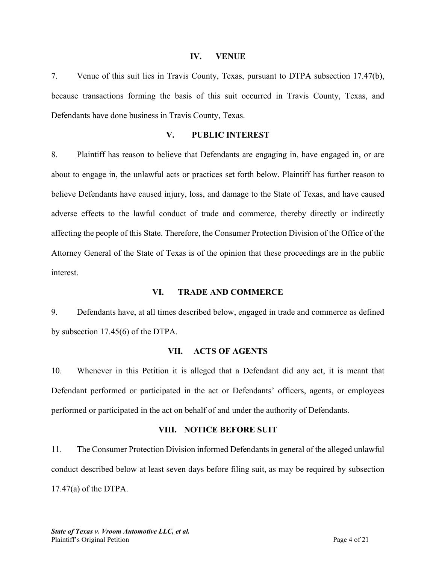#### **IV. VENUE**

7. Venue of this suit lies in Travis County, Texas, pursuant to DTPA subsection 17.47(b), because transactions forming the basis of this suit occurred in Travis County, Texas, and Defendants have done business in Travis County, Texas.

# **V. PUBLIC INTEREST**

8. Plaintiff has reason to believe that Defendants are engaging in, have engaged in, or are about to engage in, the unlawful acts or practices set forth below. Plaintiff has further reason to believe Defendants have caused injury, loss, and damage to the State of Texas, and have caused adverse effects to the lawful conduct of trade and commerce, thereby directly or indirectly affecting the people of this State. Therefore, the Consumer Protection Division of the Office of the Attorney General of the State of Texas is of the opinion that these proceedings are in the public interest.

#### **VI. TRADE AND COMMERCE**

9. Defendants have, at all times described below, engaged in trade and commerce as defined by subsection 17.45(6) of the DTPA.

#### **VII. ACTS OF AGENTS**

10. Whenever in this Petition it is alleged that a Defendant did any act, it is meant that Defendant performed or participated in the act or Defendants' officers, agents, or employees performed or participated in the act on behalf of and under the authority of Defendants.

#### **VIII. NOTICE BEFORE SUIT**

11. The Consumer Protection Division informed Defendants in general of the alleged unlawful conduct described below at least seven days before filing suit, as may be required by subsection 17.47(a) of the DTPA.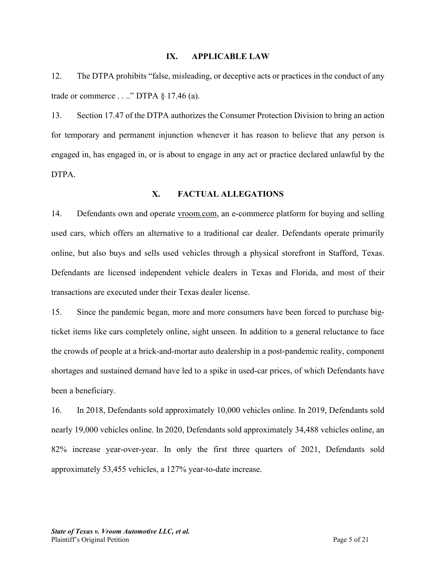#### **IX. APPLICABLE LAW**

12. The DTPA prohibits "false, misleading, or deceptive acts or practices in the conduct of any trade or commerce  $\dots$ ." DTPA  $\S$  17.46 (a).

13. Section 17.47 of the DTPA authorizes the Consumer Protection Division to bring an action for temporary and permanent injunction whenever it has reason to believe that any person is engaged in, has engaged in, or is about to engage in any act or practice declared unlawful by the DTPA.

## **X. FACTUAL ALLEGATIONS**

14. Defendants own and operate vroom.com, an e-commerce platform for buying and selling used cars, which offers an alternative to a traditional car dealer. Defendants operate primarily online, but also buys and sells used vehicles through a physical storefront in Stafford, Texas. Defendants are licensed independent vehicle dealers in Texas and Florida, and most of their transactions are executed under their Texas dealer license.

15. Since the pandemic began, more and more consumers have been forced to purchase bigticket items like cars completely online, sight unseen. In addition to a general reluctance to face the crowds of people at a brick-and-mortar auto dealership in a post-pandemic reality, component shortages and sustained demand have led to a spike in used-car prices, of which Defendants have been a beneficiary.

16. In 2018, Defendants sold approximately 10,000 vehicles online. In 2019, Defendants sold nearly 19,000 vehicles online. In 2020, Defendants sold approximately 34,488 vehicles online, an 82% increase year-over-year. In only the first three quarters of 2021, Defendants sold approximately 53,455 vehicles, a 127% year-to-date increase.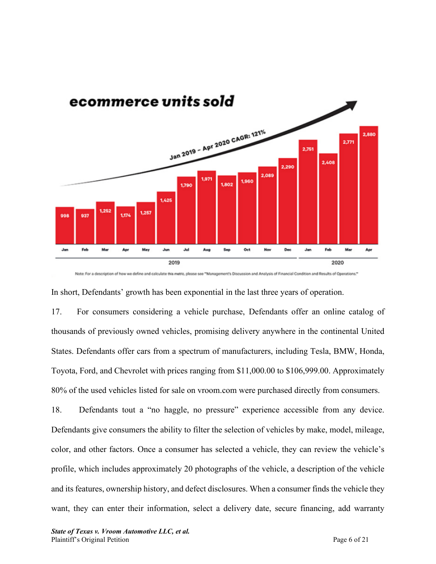

Note: For a description of how we define and calculate this metric, please see "Management's Discussion and Analysis of Financial Condition and Results of Operations."

In short, Defendants' growth has been exponential in the last three years of operation.

17. For consumers considering a vehicle purchase, Defendants offer an online catalog of thousands of previously owned vehicles, promising delivery anywhere in the continental United States. Defendants offer cars from a spectrum of manufacturers, including Tesla, BMW, Honda, Toyota, Ford, and Chevrolet with prices ranging from \$11,000.00 to \$106,999.00. Approximately 80% of the used vehicles listed for sale on vroom.com were purchased directly from consumers.

18. Defendants tout a "no haggle, no pressure" experience accessible from any device. Defendants give consumers the ability to filter the selection of vehicles by make, model, mileage, color, and other factors. Once a consumer has selected a vehicle, they can review the vehicle's profile, which includes approximately 20 photographs of the vehicle, a description of the vehicle and its features, ownership history, and defect disclosures. When a consumer finds the vehicle they want, they can enter their information, select a delivery date, secure financing, add warranty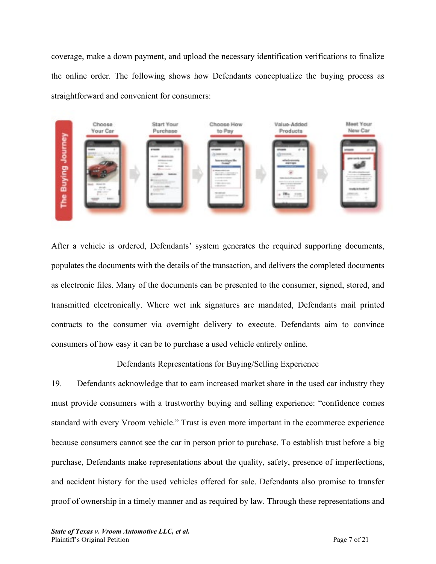coverage, make a down payment, and upload the necessary identification verifications to finalize the online order. The following shows how Defendants conceptualize the buying process as straightforward and convenient for consumers:



After a vehicle is ordered, Defendants' system generates the required supporting documents, populates the documents with the details of the transaction, and delivers the completed documents as electronic files. Many of the documents can be presented to the consumer, signed, stored, and transmitted electronically. Where wet ink signatures are mandated, Defendants mail printed contracts to the consumer via overnight delivery to execute. Defendants aim to convince consumers of how easy it can be to purchase a used vehicle entirely online.

# Defendants Representations for Buying/Selling Experience

19. Defendants acknowledge that to earn increased market share in the used car industry they must provide consumers with a trustworthy buying and selling experience: "confidence comes standard with every Vroom vehicle." Trust is even more important in the ecommerce experience because consumers cannot see the car in person prior to purchase. To establish trust before a big purchase, Defendants make representations about the quality, safety, presence of imperfections, and accident history for the used vehicles offered for sale. Defendants also promise to transfer proof of ownership in a timely manner and as required by law. Through these representations and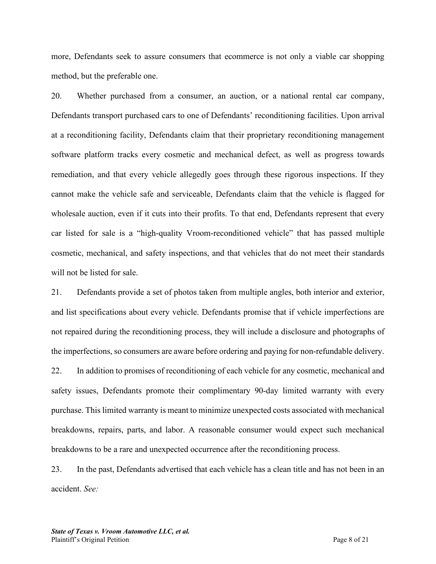more, Defendants seek to assure consumers that ecommerce is not only a viable car shopping method, but the preferable one.

20. Whether purchased from a consumer, an auction, or a national rental car company, Defendants transport purchased cars to one of Defendants' reconditioning facilities. Upon arrival at a reconditioning facility, Defendants claim that their proprietary reconditioning management software platform tracks every cosmetic and mechanical defect, as well as progress towards remediation, and that every vehicle allegedly goes through these rigorous inspections. If they cannot make the vehicle safe and serviceable, Defendants claim that the vehicle is flagged for wholesale auction, even if it cuts into their profits. To that end, Defendants represent that every car listed for sale is a "high-quality Vroom-reconditioned vehicle" that has passed multiple cosmetic, mechanical, and safety inspections, and that vehicles that do not meet their standards will not be listed for sale.

21. Defendants provide a set of photos taken from multiple angles, both interior and exterior, and list specifications about every vehicle. Defendants promise that if vehicle imperfections are not repaired during the reconditioning process, they will include a disclosure and photographs of the imperfections, so consumers are aware before ordering and paying for non-refundable delivery. 22. In addition to promises of reconditioning of each vehicle for any cosmetic, mechanical and safety issues, Defendants promote their complimentary 90-day limited warranty with every purchase. This limited warranty is meant to minimize unexpected costs associated with mechanical breakdowns, repairs, parts, and labor. A reasonable consumer would expect such mechanical breakdowns to be a rare and unexpected occurrence after the reconditioning process.

23. In the past, Defendants advertised that each vehicle has a clean title and has not been in an accident. *See:*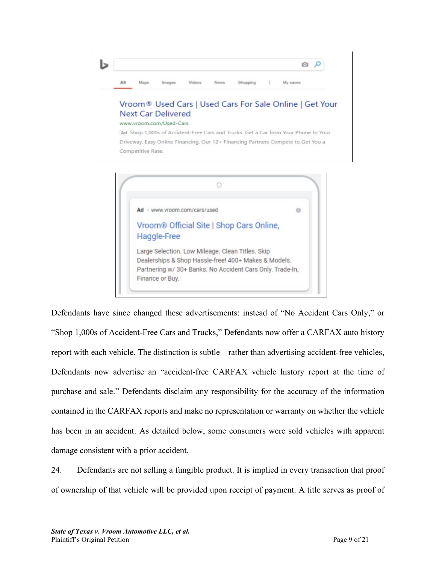#### ь  $Q_{0}$ AII Maps My saves

# Vroom® Used Cars | Used Cars For Sale Online | Get Your **Next Car Delivered**

www.vroom.com/Used-Cars

Ad Shop 1,000s of Accident-Free Cars and Trucks. Get a Car from Your Phone to Your Driveway. Easy Online Financing. Our 12+ Financing Partners Compete to Get You a Competitive Rate.



Defendants have since changed these advertisements: instead of "No Accident Cars Only," or "Shop 1,000s of Accident-Free Cars and Trucks," Defendants now offer a CARFAX auto history report with each vehicle. The distinction is subtle—rather than advertising accident-free vehicles, Defendants now advertise an "accident-free CARFAX vehicle history report at the time of purchase and sale." Defendants disclaim any responsibility for the accuracy of the information contained in the CARFAX reports and make no representation or warranty on whether the vehicle has been in an accident. As detailed below, some consumers were sold vehicles with apparent damage consistent with a prior accident.

24. Defendants are not selling a fungible product. It is implied in every transaction that proof of ownership of that vehicle will be provided upon receipt of payment. A title serves as proof of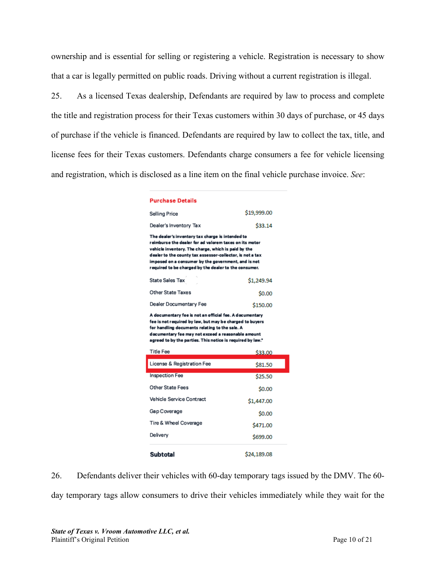ownership and is essential for selling or registering a vehicle. Registration is necessary to show that a car is legally permitted on public roads. Driving without a current registration is illegal.

25. As a licensed Texas dealership, Defendants are required by law to process and complete the title and registration process for their Texas customers within 30 days of purchase, or 45 days of purchase if the vehicle is financed. Defendants are required by law to collect the tax, title, and license fees for their Texas customers. Defendants charge consumers a fee for vehicle licensing and registration, which is disclosed as a line item on the final vehicle purchase invoice. *See*:

| <b>Purchase Details</b>                                                                                                                                                                                                                                                                                                                        |             |  |  |
|------------------------------------------------------------------------------------------------------------------------------------------------------------------------------------------------------------------------------------------------------------------------------------------------------------------------------------------------|-------------|--|--|
| Selling Price                                                                                                                                                                                                                                                                                                                                  | \$19,999.00 |  |  |
| Dealer's Inventory Tax                                                                                                                                                                                                                                                                                                                         | \$33.14     |  |  |
| The dealer's inventory tax charge is intended to<br>reimburse the dealer for ad valorem taxes on its motor<br>vehicle inventory. The charge, which is paid by the<br>dealer to the county tax assessor-collector, is not a tax<br>imposed on a consumer by the government, and is not<br>required to be charged by the dealer to the consumer. |             |  |  |
| State Sales Tax                                                                                                                                                                                                                                                                                                                                | \$1,249.94  |  |  |
| <b>Other State Taxes</b>                                                                                                                                                                                                                                                                                                                       | \$0.00      |  |  |
| Dealer Documentary Fee                                                                                                                                                                                                                                                                                                                         | \$150.00    |  |  |
| A documentary fee is not an official fee. A documentary<br>fee is not required by law, but may be charged to buyers<br>for handling documents relating to the sale. A<br>documentary fee may not exceed a reasonable amount<br>agreed to by the parties. This notice is required by law."                                                      |             |  |  |
| <b>Title Fee</b>                                                                                                                                                                                                                                                                                                                               | \$33.00     |  |  |
| License & Registration Fee                                                                                                                                                                                                                                                                                                                     | \$81.50     |  |  |
| <b>Inspection Fee</b>                                                                                                                                                                                                                                                                                                                          | \$25.50     |  |  |

| License & Registration Fee | \$81.50     |
|----------------------------|-------------|
| <b>Inspection Fee</b>      | \$25.50     |
| <b>Other State Fees</b>    | \$0.00      |
| Vehicle Service Contract   | \$1,447.00  |
| Gap Coverage               | \$0.00      |
| Tire & Wheel Coverage      | \$471.00    |
| Delivery                   | \$699.00    |
| Subtotal                   | \$24.189.08 |

26. Defendants deliver their vehicles with 60-day temporary tags issued by the DMV. The 60 day temporary tags allow consumers to drive their vehicles immediately while they wait for the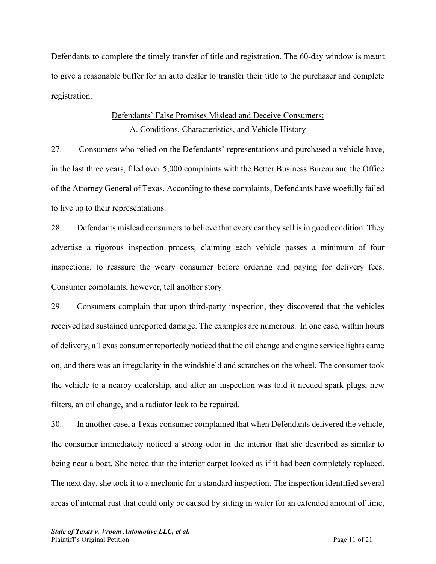Defendants to complete the timely transfer of title and registration. The 60-day window is meant to give a reasonable buffer for an auto dealer to transfer their title to the purchaser and complete registration.

# Defendants' False Promises Mislead and Deceive Consumers: A. Conditions, Characteristics, and Vehicle History

27. Consumers who relied on the Defendants' representations and purchased a vehicle have, in the last three years, filed over 5,000 complaints with the Better Business Bureau and the Office of the Attorney General of Texas. According to these complaints, Defendants have woefully failed to live up to their representations.

28. Defendants mislead consumers to believe that every car they sell is in good condition. They advertise a rigorous inspection process, claiming each vehicle passes a minimum of four inspections, to reassure the weary consumer before ordering and paying for delivery fees. Consumer complaints, however, tell another story.

29. Consumers complain that upon third-party inspection, they discovered that the vehicles received had sustained unreported damage. The examples are numerous. In one case, within hours of delivery, a Texas consumer reportedly noticed that the oil change and engine service lights came on, and there was an irregularity in the windshield and scratches on the wheel. The consumer took the vehicle to a nearby dealership, and after an inspection was told it needed spark plugs, new filters, an oil change, and a radiator leak to be repaired.

30. In another case, a Texas consumer complained that when Defendants delivered the vehicle, the consumer immediately noticed a strong odor in the interior that she described as similar to being near a boat. She noted that the interior carpet looked as if it had been completely replaced. The next day, she took it to a mechanic for a standard inspection. The inspection identified several areas of internal rust that could only be caused by sitting in water for an extended amount of time,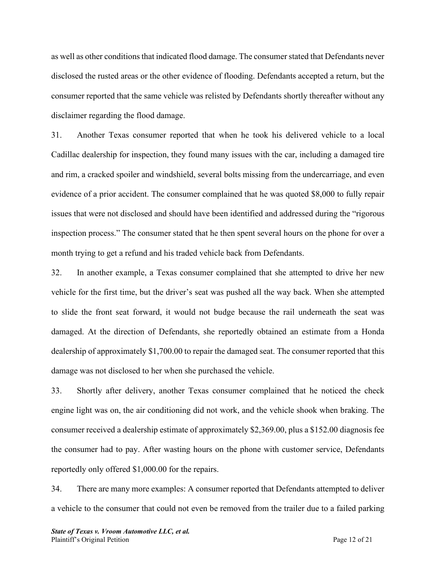as well as other conditions that indicated flood damage. The consumer stated that Defendants never disclosed the rusted areas or the other evidence of flooding. Defendants accepted a return, but the consumer reported that the same vehicle was relisted by Defendants shortly thereafter without any disclaimer regarding the flood damage.

31. Another Texas consumer reported that when he took his delivered vehicle to a local Cadillac dealership for inspection, they found many issues with the car, including a damaged tire and rim, a cracked spoiler and windshield, several bolts missing from the undercarriage, and even evidence of a prior accident. The consumer complained that he was quoted \$8,000 to fully repair issues that were not disclosed and should have been identified and addressed during the "rigorous inspection process." The consumer stated that he then spent several hours on the phone for over a month trying to get a refund and his traded vehicle back from Defendants.

32. In another example, a Texas consumer complained that she attempted to drive her new vehicle for the first time, but the driver's seat was pushed all the way back. When she attempted to slide the front seat forward, it would not budge because the rail underneath the seat was damaged. At the direction of Defendants, she reportedly obtained an estimate from a Honda dealership of approximately \$1,700.00 to repair the damaged seat. The consumer reported that this damage was not disclosed to her when she purchased the vehicle.

33. Shortly after delivery, another Texas consumer complained that he noticed the check engine light was on, the air conditioning did not work, and the vehicle shook when braking. The consumer received a dealership estimate of approximately \$2,369.00, plus a \$152.00 diagnosis fee the consumer had to pay. After wasting hours on the phone with customer service, Defendants reportedly only offered \$1,000.00 for the repairs.

34. There are many more examples: A consumer reported that Defendants attempted to deliver a vehicle to the consumer that could not even be removed from the trailer due to a failed parking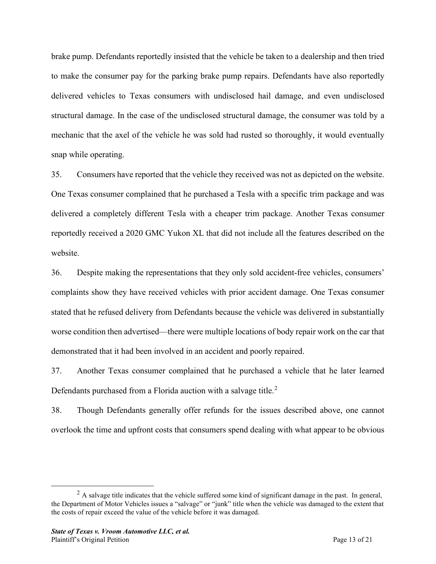brake pump. Defendants reportedly insisted that the vehicle be taken to a dealership and then tried to make the consumer pay for the parking brake pump repairs. Defendants have also reportedly delivered vehicles to Texas consumers with undisclosed hail damage, and even undisclosed structural damage. In the case of the undisclosed structural damage, the consumer was told by a mechanic that the axel of the vehicle he was sold had rusted so thoroughly, it would eventually snap while operating.

35. Consumers have reported that the vehicle they received was not as depicted on the website. One Texas consumer complained that he purchased a Tesla with a specific trim package and was delivered a completely different Tesla with a cheaper trim package. Another Texas consumer reportedly received a 2020 GMC Yukon XL that did not include all the features described on the website.

36. Despite making the representations that they only sold accident-free vehicles, consumers' complaints show they have received vehicles with prior accident damage. One Texas consumer stated that he refused delivery from Defendants because the vehicle was delivered in substantially worse condition then advertised—there were multiple locations of body repair work on the car that demonstrated that it had been involved in an accident and poorly repaired.

37. Another Texas consumer complained that he purchased a vehicle that he later learned Defendants purchased from a Florida auction with a salvage title.<sup>[2](#page-12-0)</sup>

38. Though Defendants generally offer refunds for the issues described above, one cannot overlook the time and upfront costs that consumers spend dealing with what appear to be obvious

<span id="page-12-0"></span> $<sup>2</sup>$  A salvage title indicates that the vehicle suffered some kind of significant damage in the past. In general,</sup> the Department of Motor Vehicles issues a "salvage" or "junk" title when the vehicle was damaged to the extent that the costs of repair exceed the value of the vehicle before it was damaged.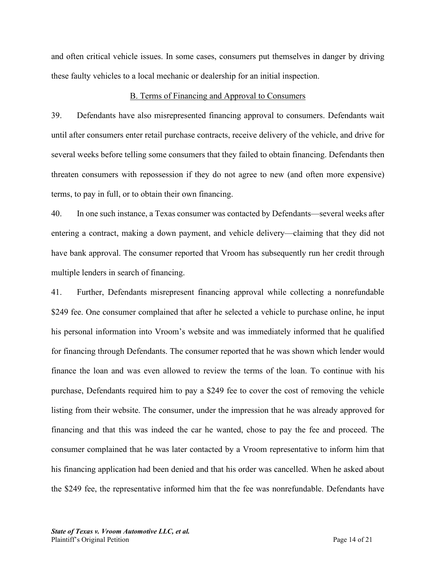and often critical vehicle issues. In some cases, consumers put themselves in danger by driving these faulty vehicles to a local mechanic or dealership for an initial inspection.

## B. Terms of Financing and Approval to Consumers

39. Defendants have also misrepresented financing approval to consumers. Defendants wait until after consumers enter retail purchase contracts, receive delivery of the vehicle, and drive for several weeks before telling some consumers that they failed to obtain financing. Defendants then threaten consumers with repossession if they do not agree to new (and often more expensive) terms, to pay in full, or to obtain their own financing.

40. In one such instance, a Texas consumer was contacted by Defendants—several weeks after entering a contract, making a down payment, and vehicle delivery—claiming that they did not have bank approval. The consumer reported that Vroom has subsequently run her credit through multiple lenders in search of financing.

41. Further, Defendants misrepresent financing approval while collecting a nonrefundable \$249 fee. One consumer complained that after he selected a vehicle to purchase online, he input his personal information into Vroom's website and was immediately informed that he qualified for financing through Defendants. The consumer reported that he was shown which lender would finance the loan and was even allowed to review the terms of the loan. To continue with his purchase, Defendants required him to pay a \$249 fee to cover the cost of removing the vehicle listing from their website. The consumer, under the impression that he was already approved for financing and that this was indeed the car he wanted, chose to pay the fee and proceed. The consumer complained that he was later contacted by a Vroom representative to inform him that his financing application had been denied and that his order was cancelled. When he asked about the \$249 fee, the representative informed him that the fee was nonrefundable. Defendants have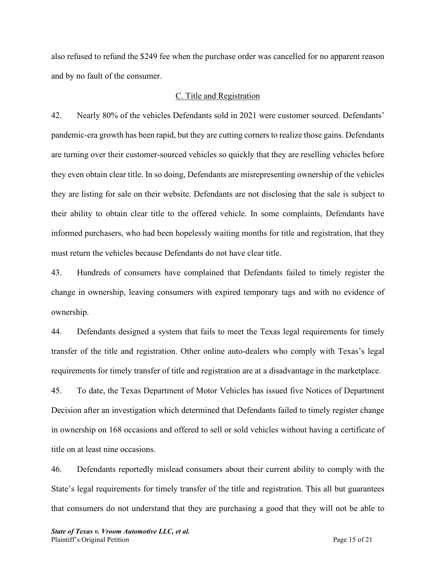also refused to refund the \$249 fee when the purchase order was cancelled for no apparent reason and by no fault of the consumer.

## C. Title and Registration

42. Nearly 80% of the vehicles Defendants sold in 2021 were customer sourced. Defendants' pandemic-era growth has been rapid, but they are cutting corners to realize those gains. Defendants are turning over their customer-sourced vehicles so quickly that they are reselling vehicles before they even obtain clear title. In so doing, Defendants are misrepresenting ownership of the vehicles they are listing for sale on their website. Defendants are not disclosing that the sale is subject to their ability to obtain clear title to the offered vehicle. In some complaints, Defendants have informed purchasers, who had been hopelessly waiting months for title and registration, that they must return the vehicles because Defendants do not have clear title.

43. Hundreds of consumers have complained that Defendants failed to timely register the change in ownership, leaving consumers with expired temporary tags and with no evidence of ownership.

44. Defendants designed a system that fails to meet the Texas legal requirements for timely transfer of the title and registration. Other online auto-dealers who comply with Texas's legal requirements for timely transfer of title and registration are at a disadvantage in the marketplace.

45. To date, the Texas Department of Motor Vehicles has issued five Notices of Department Decision after an investigation which determined that Defendants failed to timely register change in ownership on 168 occasions and offered to sell or sold vehicles without having a certificate of title on at least nine occasions.

46. Defendants reportedly mislead consumers about their current ability to comply with the State's legal requirements for timely transfer of the title and registration. This all but guarantees that consumers do not understand that they are purchasing a good that they will not be able to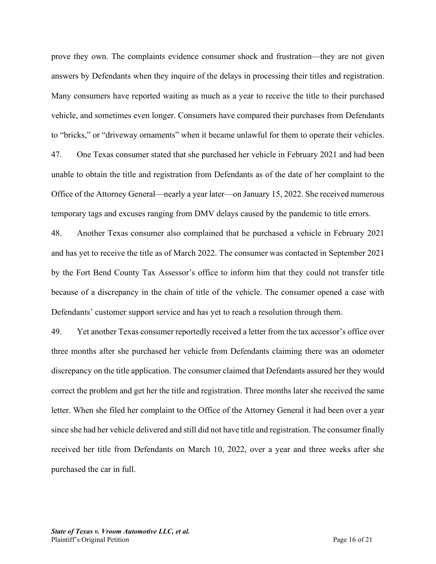prove they own. The complaints evidence consumer shock and frustration—they are not given answers by Defendants when they inquire of the delays in processing their titles and registration. Many consumers have reported waiting as much as a year to receive the title to their purchased vehicle, and sometimes even longer. Consumers have compared their purchases from Defendants to "bricks," or "driveway ornaments" when it became unlawful for them to operate their vehicles.

47. One Texas consumer stated that she purchased her vehicle in February 2021 and had been unable to obtain the title and registration from Defendants as of the date of her complaint to the Office of the Attorney General—nearly a year later—on January 15, 2022. She received numerous temporary tags and excuses ranging from DMV delays caused by the pandemic to title errors.

48. Another Texas consumer also complained that he purchased a vehicle in February 2021 and has yet to receive the title as of March 2022. The consumer was contacted in September 2021 by the Fort Bend County Tax Assessor's office to inform him that they could not transfer title because of a discrepancy in the chain of title of the vehicle. The consumer opened a case with Defendants' customer support service and has yet to reach a resolution through them.

49. Yet another Texas consumer reportedly received a letter from the tax accessor's office over three months after she purchased her vehicle from Defendants claiming there was an odometer discrepancy on the title application. The consumer claimed that Defendants assured her they would correct the problem and get her the title and registration. Three months later she received the same letter. When she filed her complaint to the Office of the Attorney General it had been over a year since she had her vehicle delivered and still did not have title and registration. The consumer finally received her title from Defendants on March 10, 2022, over a year and three weeks after she purchased the car in full.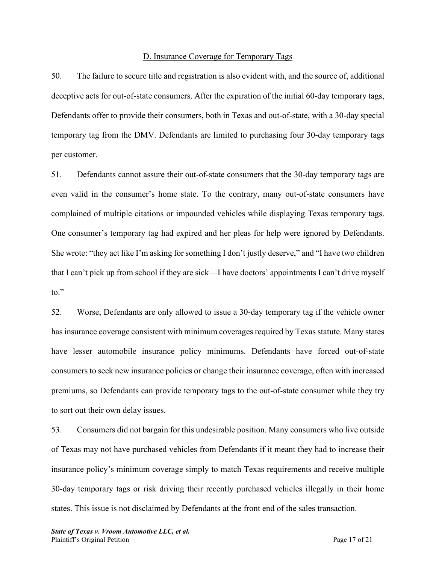# D. Insurance Coverage for Temporary Tags

50. The failure to secure title and registration is also evident with, and the source of, additional deceptive acts for out-of-state consumers. After the expiration of the initial 60-day temporary tags, Defendants offer to provide their consumers, both in Texas and out-of-state, with a 30-day special temporary tag from the DMV. Defendants are limited to purchasing four 30-day temporary tags per customer.

51. Defendants cannot assure their out-of-state consumers that the 30-day temporary tags are even valid in the consumer's home state. To the contrary, many out-of-state consumers have complained of multiple citations or impounded vehicles while displaying Texas temporary tags. One consumer's temporary tag had expired and her pleas for help were ignored by Defendants. She wrote: "they act like I'm asking for something I don't justly deserve," and "I have two children that I can't pick up from school if they are sick—I have doctors' appointments I can't drive myself to."

52. Worse, Defendants are only allowed to issue a 30-day temporary tag if the vehicle owner has insurance coverage consistent with minimum coverages required by Texas statute. Many states have lesser automobile insurance policy minimums. Defendants have forced out-of-state consumers to seek new insurance policies or change their insurance coverage, often with increased premiums, so Defendants can provide temporary tags to the out-of-state consumer while they try to sort out their own delay issues.

53. Consumers did not bargain for this undesirable position. Many consumers who live outside of Texas may not have purchased vehicles from Defendants if it meant they had to increase their insurance policy's minimum coverage simply to match Texas requirements and receive multiple 30-day temporary tags or risk driving their recently purchased vehicles illegally in their home states. This issue is not disclaimed by Defendants at the front end of the sales transaction.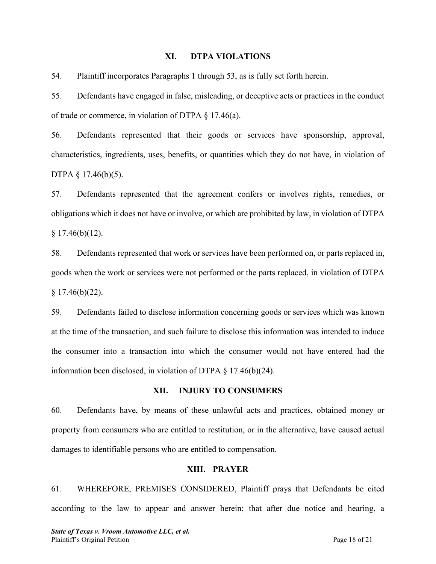#### **XI. DTPA VIOLATIONS**

54. Plaintiff incorporates Paragraphs 1 through 53, as is fully set forth herein.

55. Defendants have engaged in false, misleading, or deceptive acts or practices in the conduct of trade or commerce, in violation of DTPA § 17.46(a).

56. Defendants represented that their goods or services have sponsorship, approval, characteristics, ingredients, uses, benefits, or quantities which they do not have, in violation of DTPA § 17.46(b)(5).

57. Defendants represented that the agreement confers or involves rights, remedies, or obligations which it does not have or involve, or which are prohibited by law, in violation of DTPA § 17.46(b)(12).

58. Defendants represented that work or services have been performed on, or parts replaced in, goods when the work or services were not performed or the parts replaced, in violation of DTPA  $§ 17.46(b)(22).$ 

59. Defendants failed to disclose information concerning goods or services which was known at the time of the transaction, and such failure to disclose this information was intended to induce the consumer into a transaction into which the consumer would not have entered had the information been disclosed, in violation of DTPA § 17.46(b)(24).

## **XII. INJURY TO CONSUMERS**

60. Defendants have, by means of these unlawful acts and practices, obtained money or property from consumers who are entitled to restitution, or in the alternative, have caused actual damages to identifiable persons who are entitled to compensation.

## **XIII. PRAYER**

61. WHEREFORE, PREMISES CONSIDERED, Plaintiff prays that Defendants be cited according to the law to appear and answer herein; that after due notice and hearing, a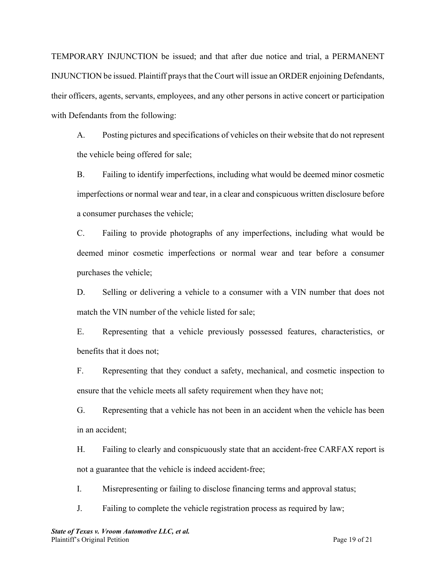TEMPORARY INJUNCTION be issued; and that after due notice and trial, a PERMANENT INJUNCTION be issued. Plaintiff prays that the Court will issue an ORDER enjoining Defendants, their officers, agents, servants, employees, and any other persons in active concert or participation with Defendants from the following:

A. Posting pictures and specifications of vehicles on their website that do not represent the vehicle being offered for sale;

B. Failing to identify imperfections, including what would be deemed minor cosmetic imperfections or normal wear and tear, in a clear and conspicuous written disclosure before a consumer purchases the vehicle;

C. Failing to provide photographs of any imperfections, including what would be deemed minor cosmetic imperfections or normal wear and tear before a consumer purchases the vehicle;

D. Selling or delivering a vehicle to a consumer with a VIN number that does not match the VIN number of the vehicle listed for sale;

E. Representing that a vehicle previously possessed features, characteristics, or benefits that it does not;

F. Representing that they conduct a safety, mechanical, and cosmetic inspection to ensure that the vehicle meets all safety requirement when they have not;

G. Representing that a vehicle has not been in an accident when the vehicle has been in an accident;

H. Failing to clearly and conspicuously state that an accident-free CARFAX report is not a guarantee that the vehicle is indeed accident-free;

I. Misrepresenting or failing to disclose financing terms and approval status;

J. Failing to complete the vehicle registration process as required by law;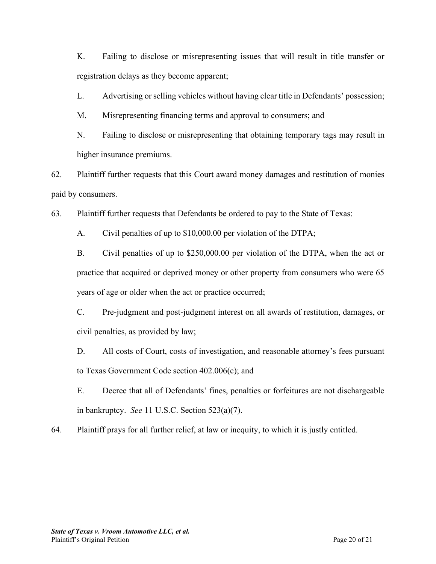K. Failing to disclose or misrepresenting issues that will result in title transfer or registration delays as they become apparent;

L. Advertising or selling vehicles without having clear title in Defendants' possession;

M. Misrepresenting financing terms and approval to consumers; and

N. Failing to disclose or misrepresenting that obtaining temporary tags may result in higher insurance premiums.

62. Plaintiff further requests that this Court award money damages and restitution of monies paid by consumers.

63. Plaintiff further requests that Defendants be ordered to pay to the State of Texas:

A. Civil penalties of up to \$10,000.00 per violation of the DTPA;

B. Civil penalties of up to \$250,000.00 per violation of the DTPA, when the act or practice that acquired or deprived money or other property from consumers who were 65 years of age or older when the act or practice occurred;

C. Pre-judgment and post-judgment interest on all awards of restitution, damages, or civil penalties, as provided by law;

D. All costs of Court, costs of investigation, and reasonable attorney's fees pursuant to Texas Government Code section 402.006(c); and

E. Decree that all of Defendants' fines, penalties or forfeitures are not dischargeable in bankruptcy. *See* 11 U.S.C. Section 523(a)(7).

64. Plaintiff prays for all further relief, at law or inequity, to which it is justly entitled.